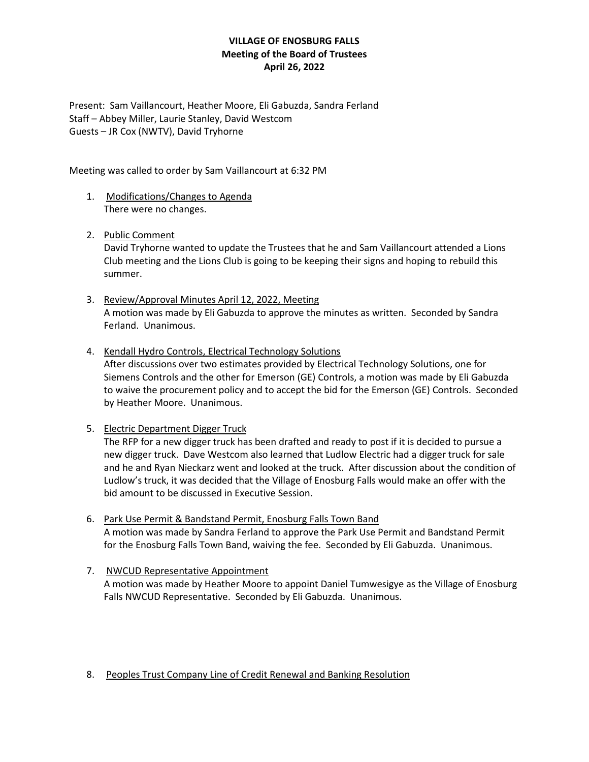## **VILLAGE OF ENOSBURG FALLS Meeting of the Board of Trustees April 26, 2022**

Present: Sam Vaillancourt, Heather Moore, Eli Gabuzda, Sandra Ferland Staff – Abbey Miller, Laurie Stanley, David Westcom Guests – JR Cox (NWTV), David Tryhorne

Meeting was called to order by Sam Vaillancourt at 6:32 PM

- 1. Modifications/Changes to Agenda There were no changes.
- 2. Public Comment

David Tryhorne wanted to update the Trustees that he and Sam Vaillancourt attended a Lions Club meeting and the Lions Club is going to be keeping their signs and hoping to rebuild this summer.

- 3. Review/Approval Minutes April 12, 2022, Meeting A motion was made by Eli Gabuzda to approve the minutes as written. Seconded by Sandra Ferland. Unanimous.
- 4. Kendall Hydro Controls, Electrical Technology Solutions After discussions over two estimates provided by Electrical Technology Solutions, one for Siemens Controls and the other for Emerson (GE) Controls, a motion was made by Eli Gabuzda to waive the procurement policy and to accept the bid for the Emerson (GE) Controls. Seconded by Heather Moore. Unanimous.
- 5. Electric Department Digger Truck

The RFP for a new digger truck has been drafted and ready to post if it is decided to pursue a new digger truck. Dave Westcom also learned that Ludlow Electric had a digger truck for sale and he and Ryan Nieckarz went and looked at the truck. After discussion about the condition of Ludlow's truck, it was decided that the Village of Enosburg Falls would make an offer with the bid amount to be discussed in Executive Session.

- 6. Park Use Permit & Bandstand Permit, Enosburg Falls Town Band A motion was made by Sandra Ferland to approve the Park Use Permit and Bandstand Permit for the Enosburg Falls Town Band, waiving the fee. Seconded by Eli Gabuzda. Unanimous.
- 7. NWCUD Representative Appointment A motion was made by Heather Moore to appoint Daniel Tumwesigye as the Village of Enosburg Falls NWCUD Representative. Seconded by Eli Gabuzda. Unanimous.

#### 8. Peoples Trust Company Line of Credit Renewal and Banking Resolution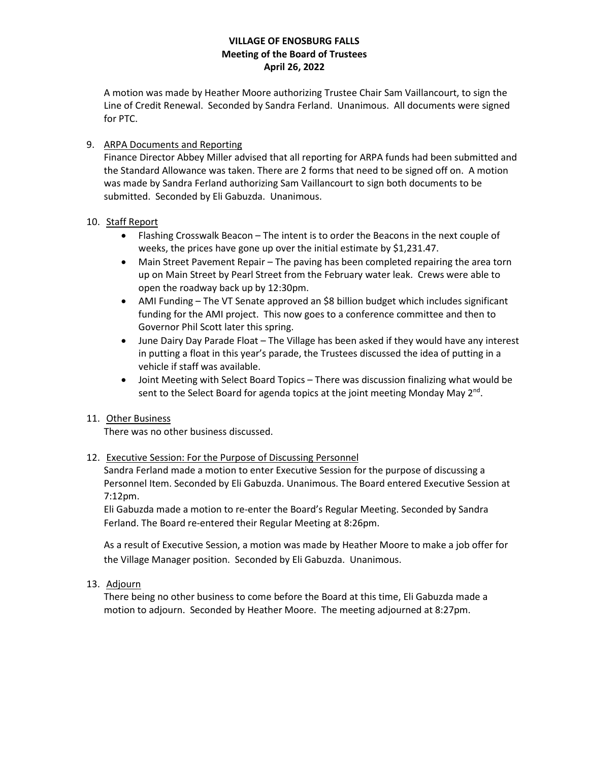## **VILLAGE OF ENOSBURG FALLS Meeting of the Board of Trustees April 26, 2022**

A motion was made by Heather Moore authorizing Trustee Chair Sam Vaillancourt, to sign the Line of Credit Renewal. Seconded by Sandra Ferland. Unanimous. All documents were signed for PTC.

## 9. ARPA Documents and Reporting

Finance Director Abbey Miller advised that all reporting for ARPA funds had been submitted and the Standard Allowance was taken. There are 2 forms that need to be signed off on. A motion was made by Sandra Ferland authorizing Sam Vaillancourt to sign both documents to be submitted. Seconded by Eli Gabuzda. Unanimous.

### 10. Staff Report

- Flashing Crosswalk Beacon The intent is to order the Beacons in the next couple of weeks, the prices have gone up over the initial estimate by \$1,231.47.
- Main Street Pavement Repair The paving has been completed repairing the area torn up on Main Street by Pearl Street from the February water leak. Crews were able to open the roadway back up by 12:30pm.
- AMI Funding The VT Senate approved an \$8 billion budget which includes significant funding for the AMI project. This now goes to a conference committee and then to Governor Phil Scott later this spring.
- June Dairy Day Parade Float The Village has been asked if they would have any interest in putting a float in this year's parade, the Trustees discussed the idea of putting in a vehicle if staff was available.
- Joint Meeting with Select Board Topics There was discussion finalizing what would be sent to the Select Board for agenda topics at the joint meeting Monday May  $2^{nd}$ .

## 11. Other Business

There was no other business discussed.

## 12. Executive Session: For the Purpose of Discussing Personnel

Sandra Ferland made a motion to enter Executive Session for the purpose of discussing a Personnel Item. Seconded by Eli Gabuzda. Unanimous. The Board entered Executive Session at 7:12pm.

Eli Gabuzda made a motion to re-enter the Board's Regular Meeting. Seconded by Sandra Ferland. The Board re-entered their Regular Meeting at 8:26pm.

As a result of Executive Session, a motion was made by Heather Moore to make a job offer for the Village Manager position. Seconded by Eli Gabuzda. Unanimous.

13. Adjourn

There being no other business to come before the Board at this time, Eli Gabuzda made a motion to adjourn. Seconded by Heather Moore. The meeting adjourned at 8:27pm.